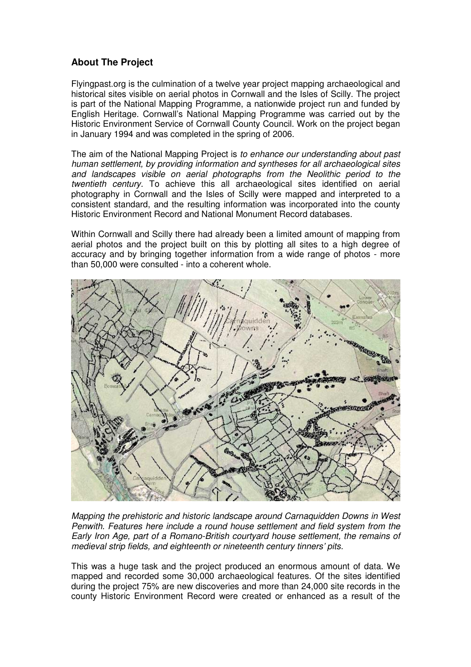## **About The Project**

Flyingpast.org is the culmination of a twelve year project mapping archaeological and historical sites visible on aerial photos in Cornwall and the Isles of Scilly. The project is part of the National Mapping Programme, a nationwide project run and funded by English Heritage. Cornwall's National Mapping Programme was carried out by the Historic Environment Service of Cornwall County Council. Work on the project began in January 1994 and was completed in the spring of 2006.

The aim of the National Mapping Project is to enhance our understanding about past human settlement, by providing information and syntheses for all archaeological sites and landscapes visible on aerial photographs from the Neolithic period to the twentieth century. To achieve this all archaeological sites identified on aerial photography in Cornwall and the Isles of Scilly were mapped and interpreted to a consistent standard, and the resulting information was incorporated into the county Historic Environment Record and National Monument Record databases.

Within Cornwall and Scilly there had already been a limited amount of mapping from aerial photos and the project built on this by plotting all sites to a high degree of accuracy and by bringing together information from a wide range of photos - more than 50,000 were consulted - into a coherent whole.



Mapping the prehistoric and historic landscape around Carnaquidden Downs in West Penwith. Features here include a round house settlement and field system from the Early Iron Age, part of a Romano-British courtyard house settlement, the remains of medieval strip fields, and eighteenth or nineteenth century tinners' pits.

This was a huge task and the project produced an enormous amount of data. We mapped and recorded some 30,000 archaeological features. Of the sites identified during the project 75% are new discoveries and more than 24,000 site records in the county Historic Environment Record were created or enhanced as a result of the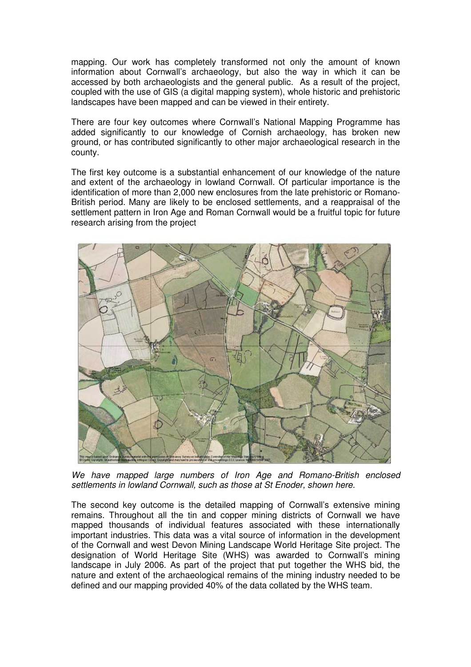mapping. Our work has completely transformed not only the amount of known information about Cornwall's archaeology, but also the way in which it can be accessed by both archaeologists and the general public. As a result of the project, coupled with the use of GIS (a digital mapping system), whole historic and prehistoric landscapes have been mapped and can be viewed in their entirety.

There are four key outcomes where Cornwall's National Mapping Programme has added significantly to our knowledge of Cornish archaeology, has broken new ground, or has contributed significantly to other major archaeological research in the county.

The first key outcome is a substantial enhancement of our knowledge of the nature and extent of the archaeology in lowland Cornwall. Of particular importance is the identification of more than 2,000 new enclosures from the late prehistoric or Romano-British period. Many are likely to be enclosed settlements, and a reappraisal of the settlement pattern in Iron Age and Roman Cornwall would be a fruitful topic for future research arising from the project



We have mapped large numbers of Iron Age and Romano-British enclosed settlements in lowland Cornwall, such as those at St Enoder, shown here.

The second key outcome is the detailed mapping of Cornwall's extensive mining remains. Throughout all the tin and copper mining districts of Cornwall we have mapped thousands of individual features associated with these internationally important industries. This data was a vital source of information in the development of the Cornwall and west Devon Mining Landscape World Heritage Site project. The designation of World Heritage Site (WHS) was awarded to Cornwall's mining landscape in July 2006. As part of the project that put together the WHS bid, the nature and extent of the archaeological remains of the mining industry needed to be defined and our mapping provided 40% of the data collated by the WHS team.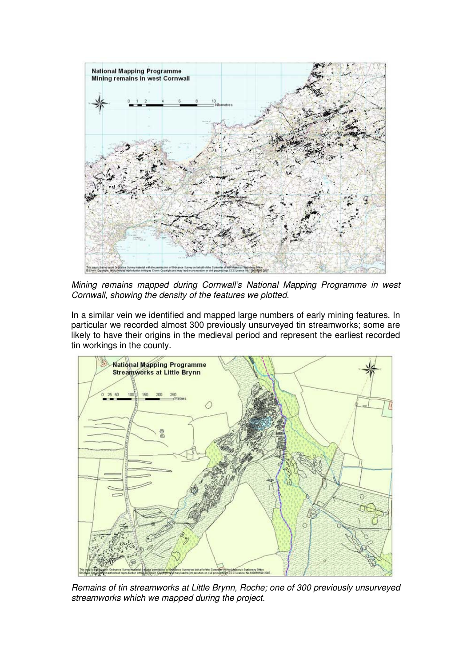

Mining remains mapped during Cornwall's National Mapping Programme in west Cornwall, showing the density of the features we plotted.

In a similar vein we identified and mapped large numbers of early mining features. In particular we recorded almost 300 previously unsurveyed tin streamworks; some are likely to have their origins in the medieval period and represent the earliest recorded tin workings in the county.



Remains of tin streamworks at Little Brynn, Roche; one of 300 previously unsurveyed streamworks which we mapped during the project.